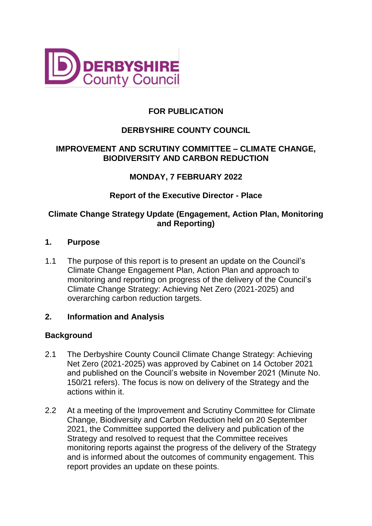

# **FOR PUBLICATION**

# **DERBYSHIRE COUNTY COUNCIL**

# **IMPROVEMENT AND SCRUTINY COMMITTEE – CLIMATE CHANGE, BIODIVERSITY AND CARBON REDUCTION**

# **MONDAY, 7 FEBRUARY 2022**

## **Report of the Executive Director - Place**

## **Climate Change Strategy Update (Engagement, Action Plan, Monitoring and Reporting)**

#### **1. Purpose**

1.1 The purpose of this report is to present an update on the Council's Climate Change Engagement Plan, Action Plan and approach to monitoring and reporting on progress of the delivery of the Council's Climate Change Strategy: Achieving Net Zero (2021-2025) and overarching carbon reduction targets.

#### **2. Information and Analysis**

#### **Background**

- 2.1 The Derbyshire County Council Climate Change Strategy: Achieving Net Zero (2021-2025) was approved by Cabinet on 14 October 2021 and published on the Council's website in November 2021 (Minute No. 150/21 refers). The focus is now on delivery of the Strategy and the actions within it.
- 2.2 At a meeting of the Improvement and Scrutiny Committee for Climate Change, Biodiversity and Carbon Reduction held on 20 September 2021, the Committee supported the delivery and publication of the Strategy and resolved to request that the Committee receives monitoring reports against the progress of the delivery of the Strategy and is informed about the outcomes of community engagement. This report provides an update on these points.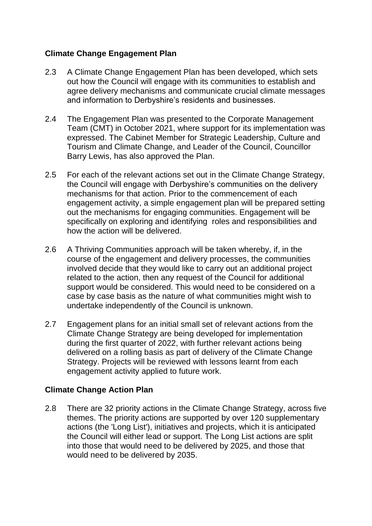# **Climate Change Engagement Plan**

- 2.3 A Climate Change Engagement Plan has been developed, which sets out how the Council will engage with its communities to establish and agree delivery mechanisms and communicate crucial climate messages and information to Derbyshire's residents and businesses.
- 2.4 The Engagement Plan was presented to the Corporate Management Team (CMT) in October 2021, where support for its implementation was expressed. The Cabinet Member for Strategic Leadership, Culture and Tourism and Climate Change, and Leader of the Council, Councillor Barry Lewis, has also approved the Plan.
- 2.5 For each of the relevant actions set out in the Climate Change Strategy, the Council will engage with Derbyshire's communities on the delivery mechanisms for that action. Prior to the commencement of each engagement activity, a simple engagement plan will be prepared setting out the mechanisms for engaging communities. Engagement will be specifically on exploring and identifying roles and responsibilities and how the action will be delivered.
- 2.6 A Thriving Communities approach will be taken whereby, if, in the course of the engagement and delivery processes, the communities involved decide that they would like to carry out an additional project related to the action, then any request of the Council for additional support would be considered. This would need to be considered on a case by case basis as the nature of what communities might wish to undertake independently of the Council is unknown.
- 2.7 Engagement plans for an initial small set of relevant actions from the Climate Change Strategy are being developed for implementation during the first quarter of 2022, with further relevant actions being delivered on a rolling basis as part of delivery of the Climate Change Strategy. Projects will be reviewed with lessons learnt from each engagement activity applied to future work.

# **Climate Change Action Plan**

2.8 There are 32 priority actions in the Climate Change Strategy, across five themes. The priority actions are supported by over 120 supplementary actions (the 'Long List'), initiatives and projects, which it is anticipated the Council will either lead or support. The Long List actions are split into those that would need to be delivered by 2025, and those that would need to be delivered by 2035.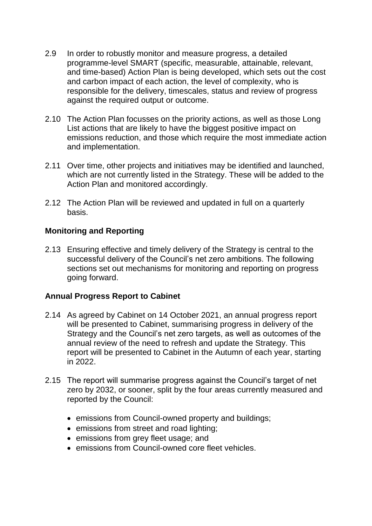- 2.9 In order to robustly monitor and measure progress, a detailed programme-level SMART (specific, measurable, attainable, relevant, and time-based) Action Plan is being developed, which sets out the cost and carbon impact of each action, the level of complexity, who is responsible for the delivery, timescales, status and review of progress against the required output or outcome.
- 2.10 The Action Plan focusses on the priority actions, as well as those Long List actions that are likely to have the biggest positive impact on emissions reduction, and those which require the most immediate action and implementation.
- 2.11 Over time, other projects and initiatives may be identified and launched, which are not currently listed in the Strategy. These will be added to the Action Plan and monitored accordingly.
- 2.12 The Action Plan will be reviewed and updated in full on a quarterly basis.

## **Monitoring and Reporting**

2.13 Ensuring effective and timely delivery of the Strategy is central to the successful delivery of the Council's net zero ambitions. The following sections set out mechanisms for monitoring and reporting on progress going forward.

#### **Annual Progress Report to Cabinet**

- 2.14 As agreed by Cabinet on 14 October 2021, an annual progress report will be presented to Cabinet, summarising progress in delivery of the Strategy and the Council's net zero targets, as well as outcomes of the annual review of the need to refresh and update the Strategy. This report will be presented to Cabinet in the Autumn of each year, starting in 2022.
- 2.15 The report will summarise progress against the Council's target of net zero by 2032, or sooner, split by the four areas currently measured and reported by the Council:
	- emissions from Council-owned property and buildings;
	- emissions from street and road lighting;
	- emissions from grey fleet usage; and
	- **e** emissions from Council-owned core fleet vehicles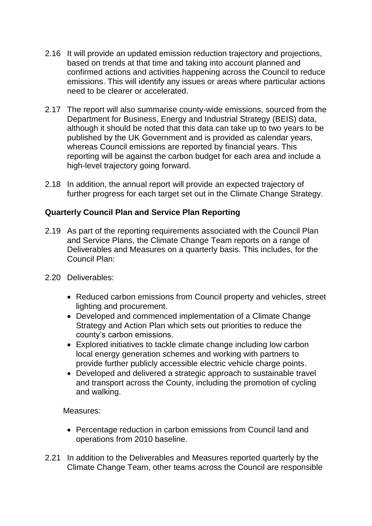- 2.16 It will provide an updated emission reduction trajectory and projections, based on trends at that time and taking into account planned and confirmed actions and activities happening across the Council to reduce emissions. This will identify any issues or areas where particular actions need to be clearer or accelerated.
- 2.17 The report will also summarise county-wide emissions, sourced from the Department for Business, Energy and Industrial Strategy (BEIS) data, although it should be noted that this data can take up to two years to be published by the UK Government and is provided as calendar years, whereas Council emissions are reported by financial years. This reporting will be against the carbon budget for each area and include a high-level trajectory going forward.
- 2.18 In addition, the annual report will provide an expected trajectory of further progress for each target set out in the Climate Change Strategy.

# **Quarterly Council Plan and Service Plan Reporting**

- 2.19 As part of the reporting requirements associated with the Council Plan and Service Plans, the Climate Change Team reports on a range of Deliverables and Measures on a quarterly basis. This includes, for the Council Plan:
- 2.20 Deliverables:
	- Reduced carbon emissions from Council property and vehicles, street lighting and procurement.
	- Developed and commenced implementation of a Climate Change Strategy and Action Plan which sets out priorities to reduce the county's carbon emissions.
	- Explored initiatives to tackle climate change including low carbon local energy generation schemes and working with partners to provide further publicly accessible electric vehicle charge points.
	- Developed and delivered a strategic approach to sustainable travel and transport across the County, including the promotion of cycling and walking.

Measures:

- Percentage reduction in carbon emissions from Council land and operations from 2010 baseline.
- 2.21 In addition to the Deliverables and Measures reported quarterly by the Climate Change Team, other teams across the Council are responsible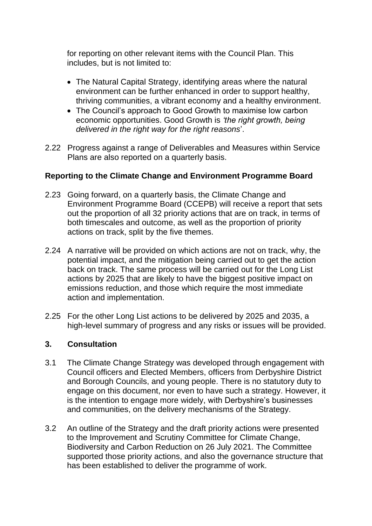for reporting on other relevant items with the Council Plan. This includes, but is not limited to:

- The Natural Capital Strategy, identifying areas where the natural environment can be further enhanced in order to support healthy, thriving communities, a vibrant economy and a healthy environment.
- The Council's approach to Good Growth to maximise low carbon economic opportunities. Good Growth is *'the right growth, being delivered in the right way for the right reasons*'.
- 2.22 Progress against a range of Deliverables and Measures within Service Plans are also reported on a quarterly basis.

## **Reporting to the Climate Change and Environment Programme Board**

- 2.23 Going forward, on a quarterly basis, the Climate Change and Environment Programme Board (CCEPB) will receive a report that sets out the proportion of all 32 priority actions that are on track, in terms of both timescales and outcome, as well as the proportion of priority actions on track, split by the five themes.
- 2.24 A narrative will be provided on which actions are not on track, why, the potential impact, and the mitigation being carried out to get the action back on track. The same process will be carried out for the Long List actions by 2025 that are likely to have the biggest positive impact on emissions reduction, and those which require the most immediate action and implementation.
- 2.25 For the other Long List actions to be delivered by 2025 and 2035, a high-level summary of progress and any risks or issues will be provided.

# **3. Consultation**

- 3.1 The Climate Change Strategy was developed through engagement with Council officers and Elected Members, officers from Derbyshire District and Borough Councils, and young people. There is no statutory duty to engage on this document, nor even to have such a strategy. However, it is the intention to engage more widely, with Derbyshire's businesses and communities, on the delivery mechanisms of the Strategy.
- 3.2 An outline of the Strategy and the draft priority actions were presented to the Improvement and Scrutiny Committee for Climate Change, Biodiversity and Carbon Reduction on 26 July 2021. The Committee supported those priority actions, and also the governance structure that has been established to deliver the programme of work.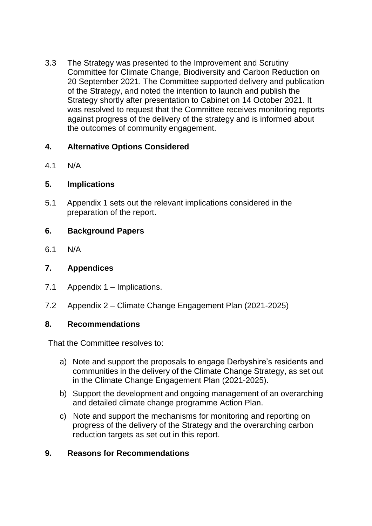3.3 The Strategy was presented to the Improvement and Scrutiny Committee for Climate Change, Biodiversity and Carbon Reduction on 20 September 2021. The Committee supported delivery and publication of the Strategy, and noted the intention to launch and publish the Strategy shortly after presentation to Cabinet on 14 October 2021. It was resolved to request that the Committee receives monitoring reports against progress of the delivery of the strategy and is informed about the outcomes of community engagement.

# **4. Alternative Options Considered**

4.1 N/A

# **5. Implications**

5.1 Appendix 1 sets out the relevant implications considered in the preparation of the report.

# **6. Background Papers**

6.1 N/A

# **7. Appendices**

- 7.1 Appendix 1 Implications.
- 7.2 Appendix 2 Climate Change Engagement Plan (2021-2025)

# **8. Recommendations**

That the Committee resolves to:

- a) Note and support the proposals to engage Derbyshire's residents and communities in the delivery of the Climate Change Strategy, as set out in the Climate Change Engagement Plan (2021-2025).
- b) Support the development and ongoing management of an overarching and detailed climate change programme Action Plan.
- c) Note and support the mechanisms for monitoring and reporting on progress of the delivery of the Strategy and the overarching carbon reduction targets as set out in this report.

# **9. Reasons for Recommendations**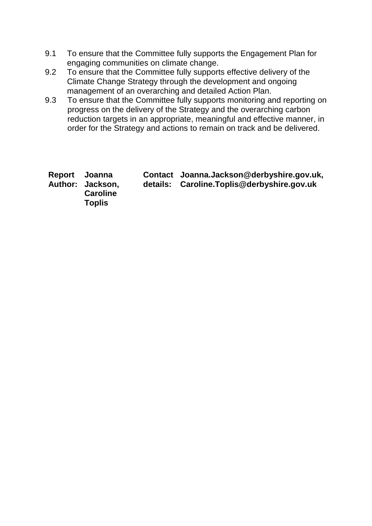- 9.1 To ensure that the Committee fully supports the Engagement Plan for engaging communities on climate change.
- 9.2 To ensure that the Committee fully supports effective delivery of the Climate Change Strategy through the development and ongoing management of an overarching and detailed Action Plan.
- 9.3 To ensure that the Committee fully supports monitoring and reporting on progress on the delivery of the Strategy and the overarching carbon reduction targets in an appropriate, meaningful and effective manner, in order for the Strategy and actions to remain on track and be delivered.

| Report Joanna<br>Author: Jackson,<br><b>Caroline</b><br><b>Toplis</b> | Contact Joanna.Jackson@derbyshire.gov.uk,<br>details: Caroline.Toplis@derbyshire.gov.uk |
|-----------------------------------------------------------------------|-----------------------------------------------------------------------------------------|
|-----------------------------------------------------------------------|-----------------------------------------------------------------------------------------|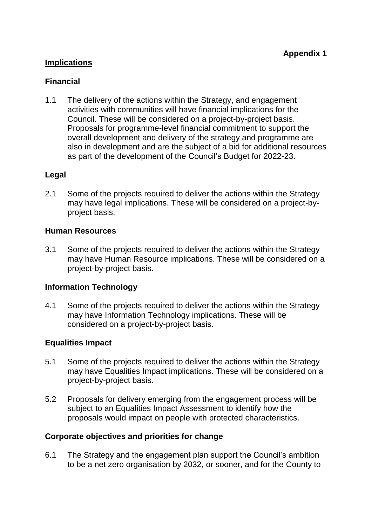# **Implications**

## **Financial**

1.1 The delivery of the actions within the Strategy, and engagement activities with communities will have financial implications for the Council. These will be considered on a project-by-project basis. Proposals for programme-level financial commitment to support the overall development and delivery of the strategy and programme are also in development and are the subject of a bid for additional resources as part of the development of the Council's Budget for 2022-23.

## **Legal**

2.1 Some of the projects required to deliver the actions within the Strategy may have legal implications. These will be considered on a project-byproject basis.

#### **Human Resources**

3.1 Some of the projects required to deliver the actions within the Strategy may have Human Resource implications. These will be considered on a project-by-project basis.

#### **Information Technology**

4.1 Some of the projects required to deliver the actions within the Strategy may have Information Technology implications. These will be considered on a project-by-project basis.

# **Equalities Impact**

- 5.1 Some of the projects required to deliver the actions within the Strategy may have Equalities Impact implications. These will be considered on a project-by-project basis.
- 5.2 Proposals for delivery emerging from the engagement process will be subject to an Equalities Impact Assessment to identify how the proposals would impact on people with protected characteristics.

# **Corporate objectives and priorities for change**

6.1 The Strategy and the engagement plan support the Council's ambition to be a net zero organisation by 2032, or sooner, and for the County to